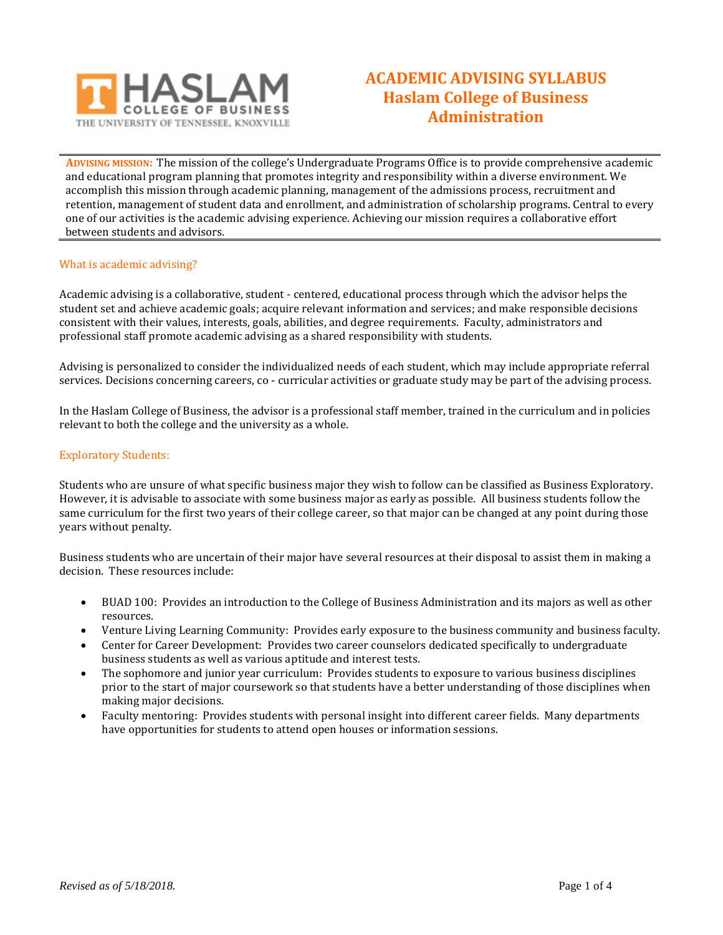

# **ACADEMIC ADVISING SYLLABUS Haslam College of Business Administration**

**ADVISING MISSION:** The mission of the college's Undergraduate Programs Office is to provide comprehensive academic and educational program planning that promotes integrity and responsibility within a diverse environment. We accomplish this mission through academic planning, management of the admissions process, recruitment and retention, management of student data and enrollment, and administration of scholarship programs. Central to every one of our activities is the academic advising experience. Achieving our mission requires a collaborative effort between students and advisors.

# What is academic advising?

Academic advising is a collaborative, student - centered, educational process through which the advisor helps the student set and achieve academic goals; acquire relevant information and services; and make responsible decisions consistent with their values, interests, goals, abilities, and degree requirements. Faculty, administrators and professional staff promote academic advising as a shared responsibility with students.

Advising is personalized to consider the individualized needs of each student, which may include appropriate referral services. Decisions concerning careers, co - curricular activities or graduate study may be part of the advising process.

In the Haslam College of Business, the advisor is a professional staff member, trained in the curriculum and in policies relevant to both the college and the university as a whole.

#### Exploratory Students:

Students who are unsure of what specific business major they wish to follow can be classified as Business Exploratory. However, it is advisable to associate with some business major as early as possible. All business students follow the same curriculum for the first two years of their college career, so that major can be changed at any point during those years without penalty.

Business students who are uncertain of their major have several resources at their disposal to assist them in making a decision. These resources include:

- BUAD 100: Provides an introduction to the College of Business Administration and its majors as well as other resources.
- Venture Living Learning Community: Provides early exposure to the business community and business faculty.
- Center for Career Development: Provides two career counselors dedicated specifically to undergraduate business students as well as various aptitude and interest tests.
- The sophomore and junior year curriculum: Provides students to exposure to various business disciplines prior to the start of major coursework so that students have a better understanding of those disciplines when making major decisions.
- Faculty mentoring: Provides students with personal insight into different career fields. Many departments have opportunities for students to attend open houses or information sessions.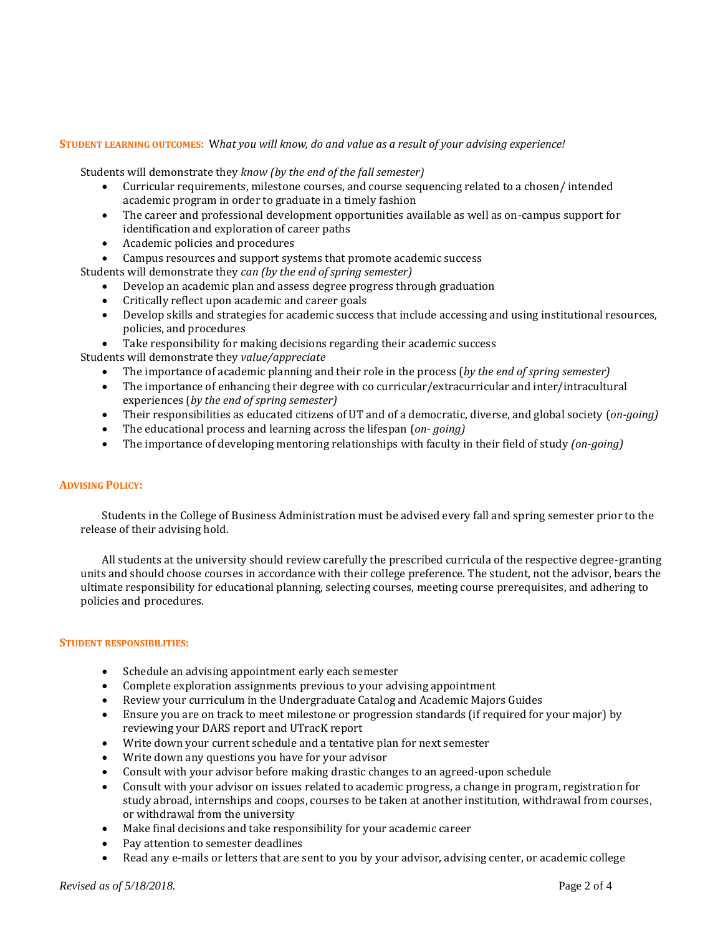# **STUDENT LEARNING OUTCOMES:** W*hat you will know, do and value as a result of your advising experience!*

Students will demonstrate they *know (by the end of the fall semester)*

- Curricular requirements, milestone courses, and course sequencing related to a chosen/ intended academic program in order to graduate in a timely fashion
- The career and professional development opportunities available as well as on-campus support for identification and exploration of career paths
- Academic policies and procedures
- Campus resources and support systems that promote academic success

Students will demonstrate they *can (by the end of spring semester)*

- Develop an academic plan and assess degree progress through graduation
- Critically reflect upon academic and career goals
- Develop skills and strategies for academic success that include accessing and using institutional resources, policies, and procedures
- Take responsibility for making decisions regarding their academic success

Students will demonstrate they *value/appreciate*

- The importance of academic planning and their role in the process (*by the end of spring semester)*
- The importance of enhancing their degree with co curricular/extracurricular and inter/intracultural experiences (*by the end of spring semester)*
- Their responsibilities as educated citizens of UT and of a democratic, diverse, and global society (*on-going)*
- The educational process and learning across the lifespan (*on- going)*
- The importance of developing mentoring relationships with faculty in their field of study *(on-going)*

# **ADVISING POLICY:**

 Students in the College of Business Administration must be advised every fall and spring semester prior to the release of their advising hold.

All students at the university should review carefully the prescribed curricula of the respective degree-granting units and should choose courses in accordance with their college preference. The student, not the advisor, bears the ultimate responsibility for educational planning, selecting courses, meeting course prerequisites, and adhering to policies and procedures.

#### **STUDENT RESPONSIBILITIES:**

- Schedule an advising appointment early each semester
- Complete exploration assignments previous to your advising appointment
- Review your curriculum in the Undergraduate Catalog and Academic Majors Guides
- Ensure you are on track to meet milestone or progression standards (if required for your major) by reviewing your DARS report and UTracK report
- Write down your current schedule and a tentative plan for next semester
- Write down any questions you have for your advisor
- Consult with your advisor before making drastic changes to an agreed-upon schedule
- Consult with your advisor on issues related to academic progress, a change in program, registration for study abroad, internships and coops, courses to be taken at another institution, withdrawal from courses, or withdrawal from the university
- Make final decisions and take responsibility for your academic career
- Pay attention to semester deadlines
- Read any e-mails or letters that are sent to you by your advisor, advising center, or academic college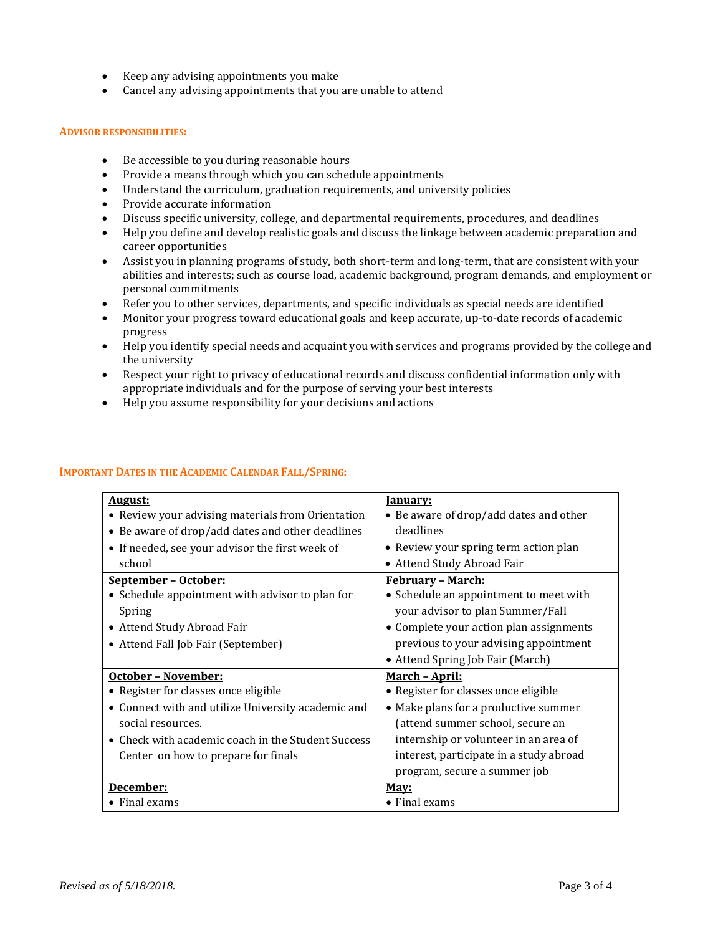- Keep any advising appointments you make
- Cancel any advising appointments that you are unable to attend

#### **ADVISOR RESPONSIBILITIES:**

- Be accessible to you during reasonable hours
- Provide a means through which you can schedule appointments
- Understand the curriculum, graduation requirements, and university policies
- Provide accurate information
- Discuss specific university, college, and departmental requirements, procedures, and deadlines
- Help you define and develop realistic goals and discuss the linkage between academic preparation and career opportunities
- Assist you in planning programs of study, both short-term and long-term, that are consistent with your abilities and interests; such as course load, academic background, program demands, and employment or personal commitments
- Refer you to other services, departments, and specific individuals as special needs are identified
- Monitor your progress toward educational goals and keep accurate, up-to-date records of academic progress
- Help you identify special needs and acquaint you with services and programs provided by the college and the university
- Respect your right to privacy of educational records and discuss confidential information only with appropriate individuals and for the purpose of serving your best interests
- Help you assume responsibility for your decisions and actions

# **IMPORTANT DATES IN THE ACADEMIC CALENDAR FALL/SPRING:**

| <u>August:</u>                                     | <u>Ianuary:</u>                         |
|----------------------------------------------------|-----------------------------------------|
| • Review your advising materials from Orientation  | • Be aware of drop/add dates and other  |
| • Be aware of drop/add dates and other deadlines   | deadlines                               |
| • If needed, see your advisor the first week of    | • Review your spring term action plan   |
| school                                             | • Attend Study Abroad Fair              |
| September - October:                               | <u> February - March:</u>               |
| • Schedule appointment with advisor to plan for    | • Schedule an appointment to meet with  |
| Spring                                             | your advisor to plan Summer/Fall        |
| • Attend Study Abroad Fair                         | • Complete your action plan assignments |
| • Attend Fall Job Fair (September)                 | previous to your advising appointment   |
|                                                    | • Attend Spring Job Fair (March)        |
| October - November:                                | <u> March – April:</u>                  |
| • Register for classes once eligible               | • Register for classes once eligible    |
| • Connect with and utilize University academic and | • Make plans for a productive summer    |
| social resources.                                  | (attend summer school, secure an        |
| • Check with academic coach in the Student Success | internship or volunteer in an area of   |
| Center on how to prepare for finals                | interest, participate in a study abroad |
|                                                    | program, secure a summer job            |
| December:                                          | May:                                    |
| • Final exams                                      | $\bullet$ Final exams                   |